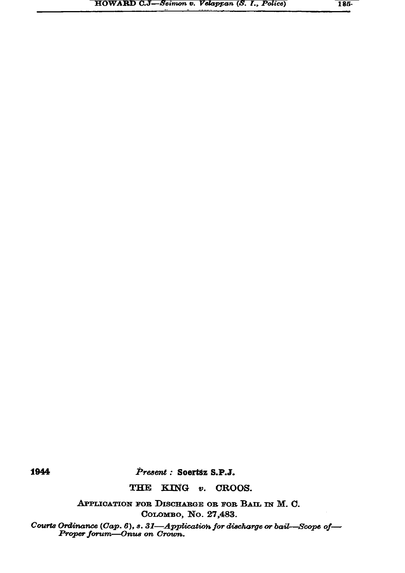1944

Present : Soertsz S.P.J.

THE KING v. CROOS.

APPLICATION FOR DISCHARGE OR FOR BAIL IN M. C. Соломво, No. 27,483.

Courts Ordinance (Cap. 6), s. 31-Application for discharge or bail-Scope of-Proper forum-Onus on Crown.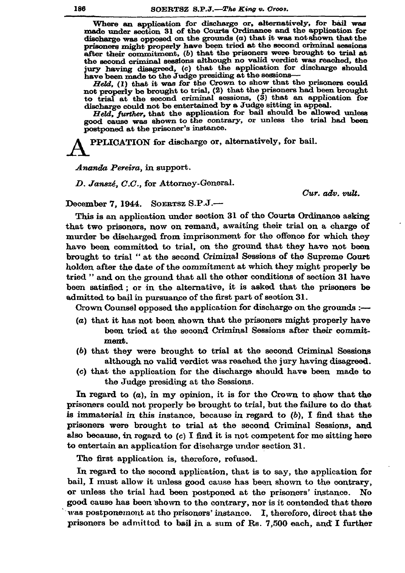Where an application for discharge or, alternatively, for bail was made under section 31 of the Courts Ordinance and the application for discharge was opposed on the grounds  $(a)$  that it was not shown that the prisoners might properly have been tried at the second criminal sessions after their commitment, (b) that the prisoners were brought to trial at the second criminal sessions although no valid verdict was reached, the jury having disagreed, (c) that the application for discharge should have been made to the Judge presiding at the sessions-

Held, (1) that it was for the Crown to show that the prisoners could not properly be brought to trial, (2) that the prisoners had been brought to trial at the second criminal sessions, (3) that an application for discharge could not be entertained by a Judge sitting in appeal.

Held, further, that the application for bail should be allowed unless good cause was shown to the contrary, or unless the trial had been postponed at the prisoner's instance.

PPLICATION for discharge or, alternatively, for bail.

Ananda Pereira, in support.

D. Janszé, C.C., for Attorney-General.

 $Cur.$   $adv.$   $mlt.$ 

December 7, 1944. SOERTSZ S.P.J.-

This is an application under section 31 of the Courts Ordinance asking that two prisoners, now on remand, awaiting their trial on a charge of murder be discharged from imprisonment for the offence for which they have been committed to trial, on the ground that they have not been brought to trial " at the second Criminal Sessions of the Supreme Court holden after the date of the commitment at which they might properly be tried " and on the ground that all the other conditions of section 31 have been satisfied; or in the alternative, it is asked that the prisoners be admitted to bail in pursuance of the first part of section 31.

Crown Counsel opposed the application for discharge on the grounds :-

- (a) that it has not been shown that the prisoners might properly have been tried at the second Criminal Sessions after their commitment.
- (b) that they were brought to trial at the second Criminal Sessions although no valid verdict was reached the jury having disagreed.
- (c) that the application for the discharge should have been made to the Judge presiding at the Sessions.

In regard to  $(a)$ , in my opinion, it is for the Crown to show that the prisoners could not properly be brought to trial, but the failure to do that is immaterial in this instance, because in regard to  $(b)$ , I find that the prisoners were brought to trial at the second Criminal Sessions, and also because, in regard to  $(c)$  I find it is not competent for me sitting here to entertain an application for discharge under section 31.

The first application is, therefore, refused.

In regard to the second application, that is to say, the application for bail, I must allow it unless good cause has been shown to the contrary, or unless the trial had been postponed at the prisoners' instance. No good cause has been shown to the contrary, nor is it contended that there was postponement at tho prisoners' instance. I, therefore, direct that the prisoners be admitted to bail in a sum of Rs. 7,500 each, and I further